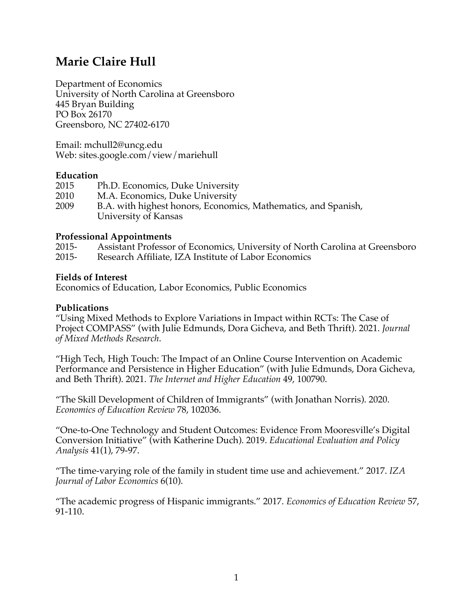# **Marie Claire Hull**

Department of Economics University of North Carolina at Greensboro 445 Bryan Building PO Box 26170 Greensboro, NC 27402-6170

Email: mchull2@uncg.edu Web: sites.google.com/view/mariehull

#### **Education**

| 2015 | Ph.D. Economics, Duke University                               |
|------|----------------------------------------------------------------|
| 2010 | M.A. Economics, Duke University                                |
| 2009 | B.A. with highest honors, Economics, Mathematics, and Spanish, |
|      | University of Kansas                                           |

#### **Professional Appointments**

2015- Assistant Professor of Economics, University of North Carolina at Greensboro 2015- Research Affiliate, IZA Institute of Labor Economics

#### **Fields of Interest**

Economics of Education, Labor Economics, Public Economics

#### **Publications**

"Using Mixed Methods to Explore Variations in Impact within RCTs: The Case of Project COMPASS" (with Julie Edmunds, Dora Gicheva, and Beth Thrift). 2021. *Journal of Mixed Methods Research*.

"High Tech, High Touch: The Impact of an Online Course Intervention on Academic Performance and Persistence in Higher Education" (with Julie Edmunds, Dora Gicheva, and Beth Thrift). 2021. *The Internet and Higher Education* 49, 100790.

"The Skill Development of Children of Immigrants" (with Jonathan Norris). 2020. *Economics of Education Review* 78, 102036.

"One-to-One Technology and Student Outcomes: Evidence From Mooresville's Digital Conversion Initiative" (with Katherine Duch). 2019. *Educational Evaluation and Policy Analysis* 41(1), 79-97.

"The time-varying role of the family in student time use and achievement." 2017. *IZA Journal of Labor Economics* 6(10).

"The academic progress of Hispanic immigrants." 2017. *Economics of Education Review* 57, 91-110.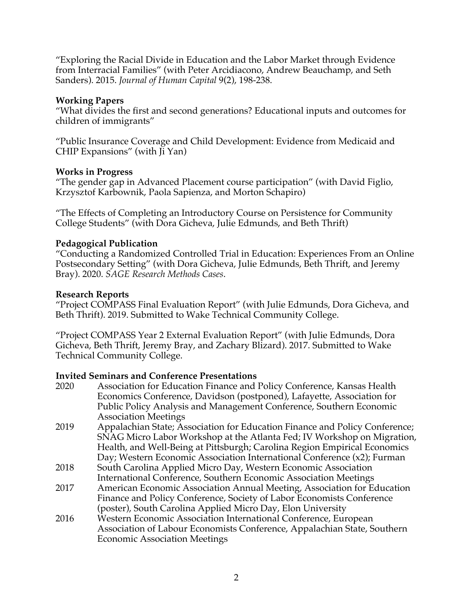"Exploring the Racial Divide in Education and the Labor Market through Evidence from Interracial Families" (with Peter Arcidiacono, Andrew Beauchamp, and Seth Sanders). 2015. *Journal of Human Capital* 9(2), 198-238.

#### **Working Papers**

"What divides the first and second generations? Educational inputs and outcomes for children of immigrants"

"Public Insurance Coverage and Child Development: Evidence from Medicaid and CHIP Expansions" (with Ji Yan)

#### **Works in Progress**

"The gender gap in Advanced Placement course participation" (with David Figlio, Krzysztof Karbownik, Paola Sapienza, and Morton Schapiro)

"The Effects of Completing an Introductory Course on Persistence for Community College Students" (with Dora Gicheva, Julie Edmunds, and Beth Thrift)

# **Pedagogical Publication**

"Conducting a Randomized Controlled Trial in Education: Experiences From an Online Postsecondary Setting" (with Dora Gicheva, Julie Edmunds, Beth Thrift, and Jeremy Bray). 2020. *SAGE Research Methods Cases*.

#### **Research Reports**

"Project COMPASS Final Evaluation Report" (with Julie Edmunds, Dora Gicheva, and Beth Thrift). 2019. Submitted to Wake Technical Community College.

"Project COMPASS Year 2 External Evaluation Report" (with Julie Edmunds, Dora Gicheva, Beth Thrift, Jeremy Bray, and Zachary Blizard). 2017. Submitted to Wake Technical Community College.

# **Invited Seminars and Conference Presentations**

2020 Association for Education Finance and Policy Conference, Kansas Health Economics Conference, Davidson (postponed), Lafayette, Association for Public Policy Analysis and Management Conference, Southern Economic Association Meetings 2019 Appalachian State; Association for Education Finance and Policy Conference; SNAG Micro Labor Workshop at the Atlanta Fed; IV Workshop on Migration, Health, and Well-Being at Pittsburgh; Carolina Region Empirical Economics Day; Western Economic Association International Conference (x2); Furman 2018 South Carolina Applied Micro Day, Western Economic Association International Conference, Southern Economic Association Meetings 2017 American Economic Association Annual Meeting, Association for Education Finance and Policy Conference, Society of Labor Economists Conference (poster), South Carolina Applied Micro Day, Elon University 2016 Western Economic Association International Conference, European Association of Labour Economists Conference, Appalachian State, Southern Economic Association Meetings